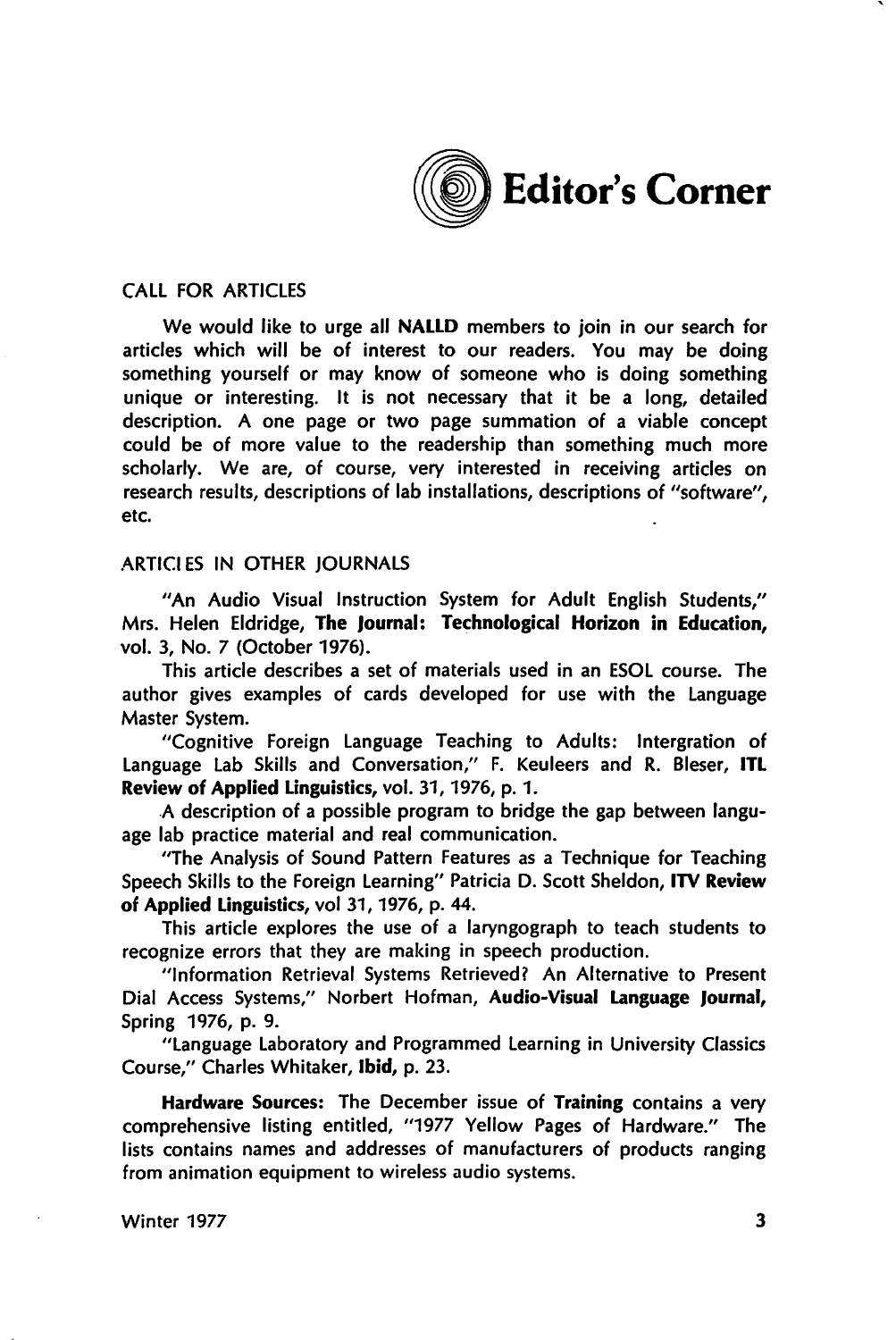

## CALL FOR ARTICLES

We would like to urge all NALLD members to join in our search for articles which will be of interest to our readers. You may be doing something yourself or may know of someone who is doing something unique or interesting. It is not necessary that it be a long, detailed description. A one page or two page summation of a viable concept could be of more value to the readership than something much more scholarly. We are, of course, very interested in receiving articles on research results, descriptions of lab installations, descriptions of "software", etc.

## ARTICI ES IN OTHER JOURNALS

"An Audio Visual Instruction System for Adult English Students," Mrs. Helen Eldridge, The Journal: Technological Horizon in Education, vol. 3, No. 7 (October 1976).

This article describes a set of materials used in an ESOL course. The author gives examples of cards developed for use with the Language

Master System.<br>11Cognitive Foreign Language Teaching to Adults: Intergration of Language Lab Skills and Conversation," F. Keuleers and R. Bleser, ITL Review of Applied Linguistics, vol. 31, 1976, p. 1.

. A description of a possible program to bridge the gap between language lab practice material and real communication.

''The Analysis of Sound Pattern Features as a Technique for Teaching Speech Skills to the Foreign Learning" Patricia D. Scott Sheldon, lTV Review of Applied Linguistics, vol 31, 1976, p. 44.

This article explores the use of a laryngograph to teach students to recognize errors that they are making in speech production.

"Information Retrieval Systems Retrieved? An Alternative to Present Dial Access Systems," Norbert Hofman, Audio-Visual Language Journal, Spring 1976, p. 9.<br>Language Laboratory and Programmed Learning in University Classics

Course," Charles Whitaker, Ibid, p. 23.

Hardware Sources: The December issue of Training contains a very comprehensive listing entitled, "1977 Yellow Pages of Hardware." The lists contains names and addresses of manufacturers of products ranging from animation equipment to wireless audio systems.